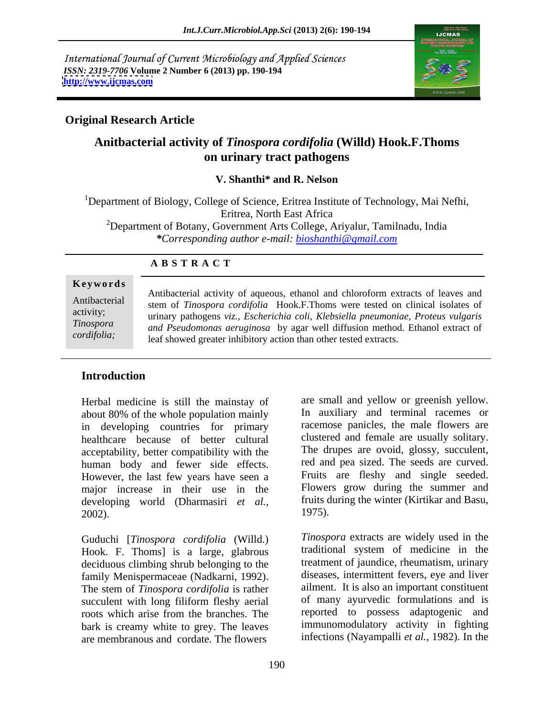International Journal of Current Microbiology and Applied Sciences *ISSN: 2319-7706* **Volume 2 Number 6 (2013) pp. 190-194 <http://www.ijcmas.com>**



# **Original Research Article**

# **Anitbacterial activity of** *Tinospora cordifolia* **(Willd) Hook.F.Thoms on urinary tract pathogens**

**V. Shanthi\* and R. Nelson**

<sup>1</sup>Department of Biology, College of Science, Eritrea Institute of Technology, Mai Nefhi, Eritrea, North East Africa <sup>2</sup>Department of Botany, Government Arts College, Ariyalur, Tamilnadu, India *\*Corresponding author e-mail: bioshanthi@gmail.com*

# **A B S T R A C T**

**Ke ywo rds** Antibacterial stem of *Tinospora cordifolia* Hook.F.Thoms were tested on clinical isolates of activity; urinary pathogens *viz., Escherichia coli, Klebsiella pneumoniae, Proteus vulgaris Tinospora and Pseudomonas aeruginosa* by agar well diffusion method. Ethanol extract of *cordifolia;* leaf showed greater inhibitory action than other tested extracts. Antibacterial activity of aqueous, ethanol and chloroform extracts of leaves and

# **Introduction**

Herbal medicine is still the mainstay of about 80% of the whole population mainly in developing countries for primary<br>healthcare because of better cultural acceptability, better compatibility with the human body and fewer side effects. However, the last few years have seen a major increase in their use in the developing world (Dharmasiri *et al.*, fruits d<br>2002) 1975).  $(1975)$ .

Guduchi [*Tinospora cordifolia* (Willd.) Hook. F. Thoms] is a large, glabrous deciduous climbing shrub belonging to the family Menispermaceae (Nadkarni, 1992). The stem of *Tinospora cordifolia* is rather bark is creamy white to grey. The leaves are membranous and cordate. The flowers

healthcare because of better cultural clustered and female are usually solitary. are small and yellow or greenish yellow. In auxiliary and terminal racemes or racemose panicles, the male flowers are The drupes are ovoid, glossy, succulent, red and pea sized. The seeds are curved. Fruits are fleshy and single seeded. Flowers grow during the summer and fruits during the winter (Kirtikar and Basu, 1975).

succulent with long filiform fleshy aerial of many ayurvedic formulations and is roots which arise from the branches. The series are reported to possess adaptogenic and *Tinospora* extracts are widely used in the traditional system of medicine in the treatment of jaundice, rheumatism, urinary diseases, intermittent fevers, eye and liver ailment. It is also an important constituent of many ayurvedic formulations and is reported to possess adaptogenic and immunomodulatory activity in fighting infections (Nayampalli *et al.,* 1982). In the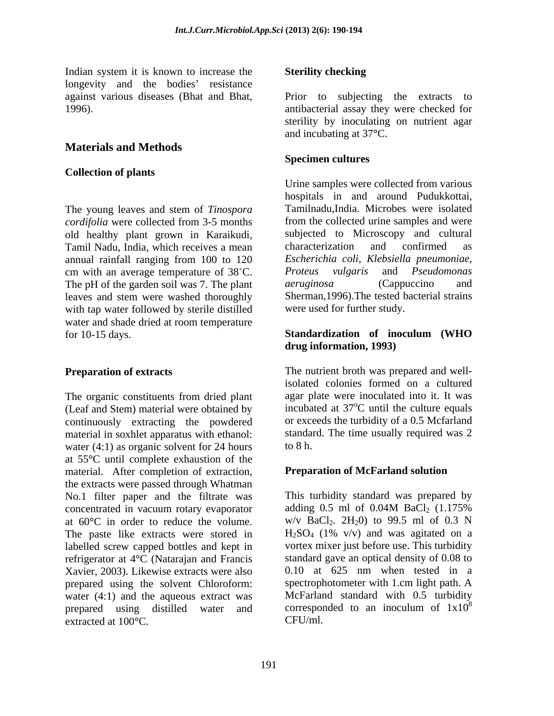Indian system it is known to increase the **Sterility checking** longevity and the bodies' resistance

# **Materials and Methods**

### **Collection of plants**

The young leaves and stem of *Tinospora cordifolia* were collected from 3-5 months Tamil Nadu, India, which receives a mean characterization and confirmed as annual rainfall ranging from 100 to 120 cm with an average temperature of 38°C. Proteus vulgaris and Pseudomonas<br>The pH of the garden soil was 7. The plant aeruginosa (Cappuccino and The pH of the garden soil was 7. The plant leaves and stem were washed thoroughly with tap water followed by sterile distilled water and shade dried at room temperature for 10-15 days. Standardization of inoculum (WHO

The organic constituents from dried plant (Leaf and Stem) material were obtained by incubated at  $37^{\circ}$ C until the culture equals continuously extracting the powdered material in soxhlet apparatus with ethanol: water  $(4:1)$  as organic solvent for 24 hours to 8 h. at 55**°**C until complete exhaustion of the material. After completion of extraction, the extracts were passed through Whatman No.1 filter paper and the filtrate was This turbidity standard was prepared by concentrated in vacuum rotary evanorator adding 0.5 ml of 0.04M BaCl<sub>2</sub> (1.175%) concentrated in vacuum rotary evaporator adding  $0.5$  ml of  $0.04M$  BaCl<sub>2</sub>  $(1.175\%$ at 60<sup>o</sup>C in order to reduce the volume.  $w/v$  BaCl<sub>2</sub>. 2H<sub>2</sub>0) to 99.5 ml of 0.3 N<br>The paste like extracts were stored in  $H_2SO_4$  (1% v/v) and was agitated on a The paste like extracts were stored in labelled screw capped bottles and kept in refrigerator at 4<sup>o</sup>C (Natarajan and Francis standard gave an optical density of 0.08 to<br>Xavier 2003) Likewise extracts were also 0.10 at 625 nm when tested in a Xavier, 2003). Likewise extracts were also prepared using the solvent Chloroform: water (4:1) and the aqueous extract was  $\blacksquare$  McFarland standard with 0.5 turbidity prepared using distilled water and corresponded to an inoculum of  $1x10^8$ prepared using distilled water and extracted at 100**°**C.

### **Sterility checking**

against various diseases (Bhat and Bhat, Prior to subjecting the extracts to 1996). antibacterial assay they were checked for sterility by inoculating on nutrient agar and incubating at 37**°**C.

### **Specimen cultures**

old healthy plant grown in Karaikudi, subjected to Microscopy and cultural Urine samples were collected from various hospitals in and around Pudukkottai, Tamilnadu,India. Microbes were isolated from the collected urine samples and were characterization and confirmed as *Escherichia coli, Klebsiella pneumoniae, Proteus vulgaris* and *Pseudomonas aeruginosa* (Cappuccino and Sherman,1996).The tested bacterial strains were used for further study.

### **Standardization of inoculum (WHO drug information, 1993)**

**Preparation of extracts** The nutrient broth was prepared and wellisolated colonies formed on a cultured agar plate were inoculated into it. It was <sup>o</sup>C until the culture equals or exceeds the turbidity of a 0.5 Mcfarland standard. The time usually required was 2 to  $8 \text{ h.}$ 

### **Preparation of McFarland solution**

This turbidity standard was prepared by adding  $0.5$  ml of  $0.04M$  BaCl<sub>2</sub>  $(1.175\%$  $w/v$  BaCl<sub>2</sub>. 2H<sub>2</sub>0) to 99.5 ml of 0.3 N  $H<sub>2</sub>SO<sub>4</sub>$  (1% v/v) and was agitated on a vortex mixer just before use. This turbidity standard gave an optical density of 0.08 to 0.10 at 625 nm when tested in a spectrophotometer with 1.cm light path. A McFarland standard with 0.5 turbidity corresponded to an inoculum of  $1x10<sup>8</sup>$ 8 CFU/ml.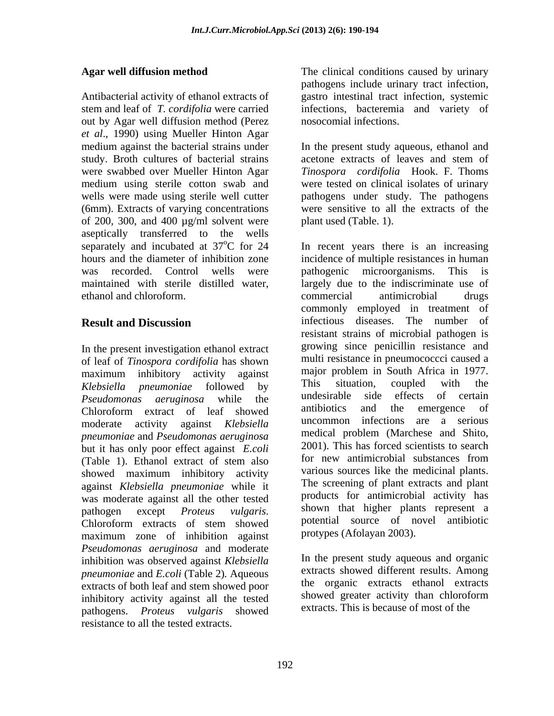Antibacterial activity of ethanol extracts of gastro intestinal tract infection, systemic stem and leaf of *T. cordifolia* were carried infections, bacteremia and variety of out by Agar well diffusion method (Perez *et al*., 1990) using Mueller Hinton Agar medium against the bacterial strains under In the present study aqueous, ethanol and study. Broth cultures of bacterial strains acetone extracts of leaves and stem of were swabbed over Mueller Hinton Agar *Tinospora cordifolia* Hook. F. Thoms medium using sterile cotton swab and were tested on clinical isolates of urinary wells were made using sterile well cutter pathogens under study. The pathogens (6mm). Extracts of varying concentrations of 200, 300, and 400  $\mu$ g/ml solvent were aseptically transferred to the wells separately and incubated at  $37^{\circ}$ C for 24 In recent years there is an increasing ethanol and chloroform.

In the present investigation ethanol extract of leaf of *Tinospora cordifolia* has shown maximum inhibitory activity against major problem in South Africa in 1977.<br>
Klebsiella pneumoniae followed by This situation, coupled with the *Klebsiella pneumoniae* followed by This situation, coupled with the Resudences acruainess while the undesirable side effects of certain Chloroform extract of leaf showed antibiotics and the emergence of *pneumoniae* and *Pseudomonas aeruginosa* but it has only poor effect against *E.coli* 2001). This has forced scientists to search<br>(Table 1) Ethanol extract of stam also for new antimicrobial substances from showed maximum inhibitory activity against *Klebsiella pneumoniae* while it was moderate against all the other tested maximum zone of inhibition against *Pseudomonas aeruginosa* and moderate inhibition was observed against *Klebsiella pneumoniae* and *E.coli* (Table 2)*.* Aqueous extracts of both leaf and stem showed poor<br>inhibitory activity against all the tested showed greater activity than chloroform inhibitory activity against all the tested pathogens. *Proteus vulgaris* showed resistance to all the tested extracts.

Agar well diffusion method The clinical conditions caused by urinary pathogens include urinary tract infection, nosocomial infections.

> acetone extracts of leaves and stem of were sensitive to all the extracts of the plant used (Table. 1).

hours and the diameter of inhibition zone incidence of multiple resistances in human was recorded. Control wells were pathogenic microorganisms. This is maintained with sterile distilled water, largely due to the indiscriminate use of **Result and Discussion**  infectious diseases. The number of *Pseudomonas aeruginosa* while the moderate activity against *Klebsiella*  (Table 1). Ethanol extract of stem also to the new antimicrobial substances from pathogen except *Proteus vulgaris*. Shown that higher plants represent a<br>Chloroform extracts of stem showed botential source of novel antibiotic pathogenic microorganisms. This is commercial antimicrobial drugs commonly employed in treatment of resistant strains of microbial pathogen is growing since penicillin resistance and multi resistance in pneumococcci caused a major problem in South Africa in 1977. This situation, coupled with the undesirable side effects of certain antibiotics and the emergence of uncommon infections are a serious medical problem (Marchese and Shito, 2001). This has forced scientists to search for new antimicrobial substances from various sources like the medicinal plants. The screening of plant extracts and plant products for antimicrobial activity has shown that higher plants represent a potential source of novel antibiotic protypes (Afolayan 2003).

> In the present study aqueous and organic extracts showed different results. Among the organic extracts ethanol extracts showed greater activity than chloroform extracts. This is because of most of the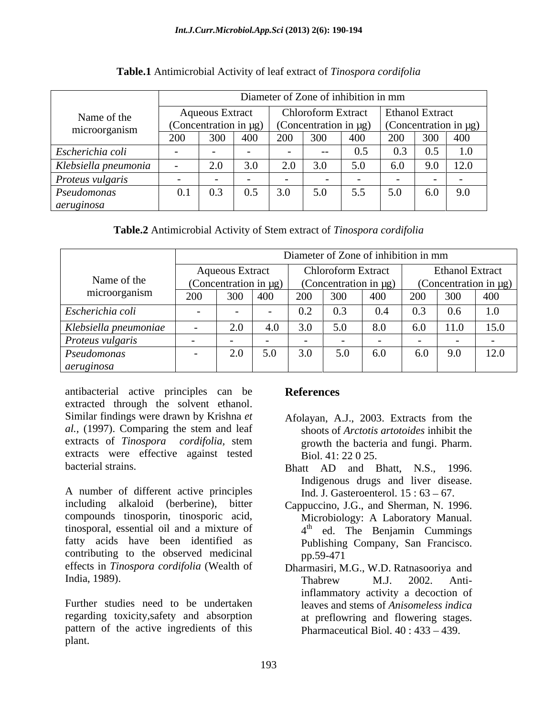|                              |     | Diameter of Zone of inhibition in mm          |     |  |                                      |     |                                                           |              |      |
|------------------------------|-----|-----------------------------------------------|-----|--|--------------------------------------|-----|-----------------------------------------------------------|--------------|------|
| Name of the<br>microorganism |     | Aqueous Extract<br>(Concentration in $\mu$ g) |     |  | Chloroform Extract   Ethanol Extract |     | $\int$ (Concentration in μg) $\int$ (Concentration in μg) |              |      |
|                              | 200 | 300                                           |     |  | 300                                  |     |                                                           | 300          | 400  |
| Escherichia coli             |     |                                               |     |  |                                      | ◡.  |                                                           |              | 1.0  |
| Klebsiella pneumonia         |     | 2.0                                           |     |  | 3.0                                  | 5.0 | 6.0                                                       | $\lambda$ .U | 12.0 |
| Proteus vulgaris             |     |                                               |     |  |                                      |     |                                                           |              |      |
| Pseudomonas                  |     | 0.3                                           | 0.5 |  | 5.0                                  | J.J | 5.0                                                       | $6.0$        | 9.0  |
| aeruginosa                   |     |                                               |     |  |                                      |     |                                                           |              |      |

# **Table.1** Antimicrobial Activity of leaf extract of *Tinospora cordifolia*

| Table.2 Antimicrobial Activity of Stem extract of Tinospora cordifolia |  |  |
|------------------------------------------------------------------------|--|--|
|------------------------------------------------------------------------|--|--|

|                       |     |                        |                            |                                     |                    |                            | Diameter of Zone of inhibition in mm |                        |                            |  |
|-----------------------|-----|------------------------|----------------------------|-------------------------------------|--------------------|----------------------------|--------------------------------------|------------------------|----------------------------|--|
|                       |     | <b>Aqueous Extract</b> |                            |                                     | Chloroform Extract |                            |                                      | <b>Ethanol Extract</b> |                            |  |
| Name of the           |     |                        | (Concentration in $\mu$ g) |                                     |                    | (Concentration in $\mu$ g) |                                      |                        | (Concentration in $\mu$ g) |  |
| microorganism         | 200 |                        | 300 400                    | 200                                 | 300                | $\mid$ 400                 | 200                                  | 300                    | $\vert$ 400                |  |
| Escherichia coli      |     | $\sim$                 |                            | 0.2                                 | 0.3                |                            | U.S                                  |                        |                            |  |
| Klebsiella pneumoniae |     | $\sim$ .               | $+.0$                      | 20 <sup>o</sup><br>3.0 <sub>1</sub> | 5.0                | 8.0                        | v.v                                  | 11.0                   | 15.0                       |  |
| Proteus vulgaris      |     |                        |                            |                                     |                    |                            |                                      |                        |                            |  |
| Pseudomonas           |     | 2.0                    | 5.0                        | 3.0                                 | 5.0                | 6.0                        | 6.0                                  |                        | 12.0                       |  |
| aeruginosa            |     |                        |                            |                                     |                    |                            |                                      |                        |                            |  |

antibacterial active principles can be extracted through the solvent ethanol. Similar findings were drawn by Krishna et Afolayan, A.J., 2003. Extracts from the *al.,* (1997). Comparing the stem and leaf extracts of *Tinospora cordifolia,* stem extracts were effective against tested

A number of different active principles including alkaloid (berberine), bitter Cappuccino, J.G., and Sherman, N. 1996. compounds tinosporin, tinosporic acid, Microbiology: A Laboratory Manual. tinosporal, essential oil and a mixture of  $4<sup>th</sup>$  ed. The Benjamin Cummings fatty acids have been identified as Publishing Company, San Francisco. contributing to the observed medicinal pp.59-471 effects in *Tinospora cordifolia* (Wealth of Dharmasiri, M.G., W.D. Ratnasooriya and

Further studies need to be undertaken leaves and stems of *Anisomeless indica*  regarding toxicity,safety and absorption pattern of the active ingredients of this plant.

# **References**

- Afolayan, A.J., 2003. Extracts from the shoots of *Arctotis artotoides* inhibit the growth the bacteria and fungi. Pharm. Biol. 41: 22 0 25.
- bacterial strains. Bhatt AD and Bhatt, N.S., 1996. Indigenous drugs and liver disease. Ind. J. Gasteroenterol.  $15:63-67$ .
	- Cappuccino, J.G., and Sherman, N. 1996.<br>Microbiology: A Laboratory Manual.<br>4<sup>th</sup> ed. The Benjamin Cummings pp.59-471
- India, 1989). Thabrew M.J. 2002. Antiinflammatory activity a decoction of at preflowring and flowering stages. Pharmaceutical Biol.  $40:433-439$ .